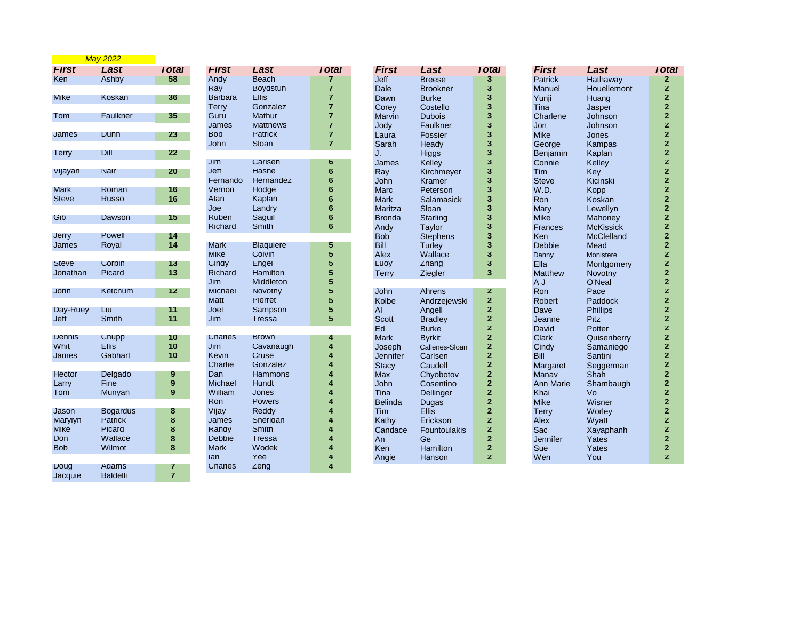|                          | <b>May 2022</b> |                |                |                  |                         |                |                     |                         |                  |                   |                         |
|--------------------------|-----------------|----------------|----------------|------------------|-------------------------|----------------|---------------------|-------------------------|------------------|-------------------|-------------------------|
| <b>First</b>             | Last            | <b>Total</b>   | <b>First</b>   | Last             | Total                   | <b>First</b>   | Last                | <b>Total</b>            | <b>First</b>     | Last              | <b>Total</b>            |
| <b>Ken</b>               | Ashby           | 58             | Andy           | <b>Beach</b>     | 7                       | <b>Jeff</b>    | <b>Breese</b>       | 3                       | <b>Patrick</b>   | Hathaway          | $\overline{2}$          |
|                          |                 |                | Ray            | Boydstun         | $\overline{7}$          | Dale           | <b>Brookner</b>     | 3                       | Manuel           | Houellemont       | $\mathbf{z}$            |
| <b>M</b> <sub>I</sub> ke | Koskan          | 36             | <b>Barbara</b> | <b>Ellis</b>     | $\overline{7}$          | Dawn           | <b>Burke</b>        | 3                       | Yunji            | Huang             | $\mathbf{z}$            |
|                          |                 |                | Terry          | Gonzalez         | $\overline{7}$          | Corey          | Costello            | 3                       | Tina             | Jasper            | $\mathbf 2$             |
| Tom                      | Faulkner        | 35             | Guru           | Mathur           | $\overline{7}$          | Marvin         | <b>Dubois</b>       | 3                       | Charlene         | Johnson           | $\overline{\mathbf{2}}$ |
|                          |                 |                | James          | <b>Matthews</b>  | $\overline{7}$          | Jody           | Faulkner            | 3                       | Jon              | Johnson           | $\overline{\mathbf{2}}$ |
| James                    | Dunn            | 23             | <b>Bob</b>     | Patrick          | $\overline{7}$          | Laura          | Fossier             | 3                       | <b>Mike</b>      | Jones             | $\mathbf 2$             |
|                          |                 |                | John           | Sloan            | $\overline{7}$          | Sarah          | Headv               | 3                       | George           | Kampas            | $\mathbf 2$             |
| <b>lerry</b>             | <b>Dill</b>     | 22             |                |                  |                         | J.             | Higgs               | 3                       | Benjamin         | Kaplan            | $\mathbf 2$             |
|                          |                 |                | Jim            | Carlsen          | 6                       | James          | Kelley              | 3                       | Connie           | Kelley            | $\bf{2}$                |
| Vijayan                  | Nair            | 20             | Jeff           | Hashe            | 6                       | Ray            | Kirchmeyer          | 3                       | Tim              | Key               | $\mathbf 2$             |
|                          |                 |                | Fernando       | Hernandez        | 6                       | John           | <b>Kramer</b>       | 3                       | <b>Steve</b>     | Kicinski          | $\mathbf 2$             |
| <b>Mark</b>              | Roman           | 16             | Vernon         | Hodge            | 6                       | Marc           | Peterson            | 3                       | W.D.             | Kopp              | $\overline{\mathbf{2}}$ |
| <b>Steve</b>             | <b>Russo</b>    | 16             | Alan           | Kaplan           | 6                       | <b>Mark</b>    | Salamasick          | 3                       | Ron              | Koskan            | $\mathbf 2$             |
|                          |                 |                | Joe            | Landry           | 6                       | Maritza        | Sloan               | 3                       | Mary             | Lewellyn          | $\mathbf 2$             |
| Gib                      | Dawson          | 15             | <b>Ruben</b>   | Saguil           | 6                       | <b>Bronda</b>  | <b>Starling</b>     | 3                       | <b>Mike</b>      | Mahoney           | $\overline{\mathbf{2}}$ |
|                          |                 |                | <b>Richard</b> | Smith            | 6                       | Andy           | Taylor              | 3                       | Frances          | <b>McKissick</b>  | $\mathbf{z}$            |
| <b>Jerry</b>             | Powell          |                |                |                  |                         | <b>Bob</b>     | <b>Stephens</b>     | 3                       | Ken              | <b>McClelland</b> | $\mathbf{2}$            |
|                          |                 | 14<br>14       |                |                  |                         | Bill           |                     | 3                       |                  |                   | $\overline{\mathbf{2}}$ |
| James                    | Royal           |                | <b>Mark</b>    | <b>Blaquiere</b> | 5                       |                | Turley              |                         | <b>Debbie</b>    | Mead              | $\overline{\mathbf{2}}$ |
|                          |                 |                | <b>Mike</b>    | Colvin           | 5                       | Alex           | Wallace             | 3                       | Danny            | Monistere         |                         |
| <b>Steve</b>             | Corbin          | 13             | Cindy          | Engel            | 5                       | Luoy           | $\angle$ hang       | 3                       | Ella             | Montgomery        | $\mathbf{z}$            |
| Jonathan                 | Picard          | 13             | <b>Richard</b> | Hamilton         | 5                       | Terry          | Ziegler             | 3                       | <b>Matthew</b>   | Novotny           | $\mathbf 2$             |
|                          |                 |                | Jim            | Middleton        | 5                       |                |                     |                         | A J              | O'Neal            | $\bf{2}$                |
| <b>John</b>              | Ketchum         | 12             | <b>Michael</b> | Novotny          | 5                       | <b>John</b>    | Ahrens              | 2                       | Ron              | Pace              | $\overline{\mathbf{z}}$ |
|                          |                 |                | <b>Matt</b>    | Pierret          | 5                       | Kolbe          | Andrzejewski        | $\mathbf{z}$            | Robert           | Paddock           | $\bf{2}$                |
| Day-Ruey                 | Liu             | 11             | Joel           | Sampson          | $5\phantom{.0}$         | AI             | Angell              | $\overline{\mathbf{2}}$ | Dave             | <b>Phillips</b>   | 2                       |
| <b>Jeff</b>              | Smith           | 11             | Jim            | <b>I</b> ressa   | 5                       | <b>Scott</b>   | <b>Bradley</b>      | $\mathbf{z}$            | Jeanne           | Pitz              | $\bf{Z}$                |
|                          |                 |                |                |                  |                         | Ed             | <b>Burke</b>        | $\overline{2}$          | David            | Potter            | $\mathbf 2$             |
| Dennis                   | Chupp           | 10             | Charles        | <b>Brown</b>     | 4                       | <b>Mark</b>    | <b>Byrkit</b>       | $\mathbf{z}$            | <b>Clark</b>     | Quisenberry       | $\mathbf{z}$            |
| Whit                     | <b>Ellis</b>    | 10             | Jim            | Cavanaugh        | 4                       | Joseph         | Callenes-Sloan      | $\mathbf{z}$            | Cindy            | Samaniego         | $\bf{Z}$                |
| James                    | Gabhart         | 10             | Kevin          | Cruse            | 4                       | Jennifer       | Carlsen             | $\overline{\mathbf{2}}$ | <b>Bill</b>      | Santini           | $\mathbf{2}$            |
|                          |                 |                | Charlie        | Gonzalez         | 4                       | <b>Stacy</b>   | Caudell             | $\mathbf{z}$            | Margaret         | Seggerman         | $\mathbf 2$             |
| Hector                   | Delgado         | 9              | Dan            | <b>Hammons</b>   | 4                       | Max            | Chyobotov           | $\overline{\mathbf{2}}$ | Manav            | Shah              | $\mathbf{z}$            |
| Larry                    | Fine            | 9              | <b>Michael</b> | Hundt            | 4                       | John           | Cosentino           | $\overline{\mathbf{2}}$ | <b>Ann Marie</b> | Shambaugh         | $\mathbf{z}$            |
| <b>Tom</b>               | Munyan          | 9              | William        | Jones            | 4                       | Tina           | Dellinger           | $\mathbf{z}$            | Khai             | Vo                | $\overline{\mathbf{2}}$ |
|                          |                 |                | Ron            | Powers           | 4                       | <b>Belinda</b> | Dugas               | $\mathbf{z}$            | <b>Mike</b>      | Wisner            | $\mathbf 2$             |
| Jason                    | <b>Bogardus</b> | 8              | Vijay          | <b>Reddy</b>     | 4                       | <b>Tim</b>     | <b>Ellis</b>        | $\overline{\mathbf{2}}$ | <b>Terry</b>     | Worley            | $\overline{\mathbf{2}}$ |
| Marylyn                  | Patrick         | 8              | James          | Sheridan         |                         | Kathy          | Erickson            | $\mathbf{z}$            | Alex             | Wyatt             | $\bf{2}$                |
| <b>Mike</b>              | Picard          | 8              | Randy          | Smith            | 4                       | Candace        | <b>Fountoulakis</b> | $\overline{\mathbf{2}}$ | Sac              | Xayaphanh         | $\mathbf 2$             |
| <b>Don</b>               | Wallace         | 8              | <b>Debbie</b>  | <b>I</b> ressa   | 4                       | An             | Ge                  | $\overline{2}$          | Jennifer         | Yates             | $\mathbf{z}$            |
| <b>Bob</b>               | Wilmot          | 8              | <b>Mark</b>    | Wodek            | 4                       | Ken            | Hamilton            | $\mathbf{z}$            | Sue              | Yates             | $\mathbf 2$             |
|                          |                 |                | lan            | Yee              | 4                       | Angie          | Hanson              | $\overline{2}$          | Wen              | You               | $\overline{2}$          |
| <b>Doug</b>              | Adams           | 7              | Charles        | $\angle$ eng     | $\overline{\mathbf{4}}$ |                |                     |                         |                  |                   |                         |
| Jacquie                  | <b>Baldelli</b> | $\overline{7}$ |                |                  |                         |                |                     |                         |                  |                   |                         |
|                          |                 |                |                |                  |                         |                |                     |                         |                  |                   |                         |

| ıtal           | <b>First</b>    | Last             | <b>Total</b>   |
|----------------|-----------------|------------------|----------------|
| 58             | Andy            | <b>Beach</b>     | 7              |
|                | Ray             | Boydstun         | $\overline{7}$ |
| 36             | <b>Barbara</b>  | <b>Ellis</b>     | 7              |
|                | Terry           | Gonzalez         | 7              |
| 35             | Guru            | <b>Mathur</b>    | $\overline{7}$ |
|                | James           | <b>Matthews</b>  | $\overline{7}$ |
| 23             | <b>Bob</b>      | Patrick          | $\overline{7}$ |
|                | John            | Sloan            | 7              |
| 22             |                 |                  |                |
|                | Jim             | Carlsen          | 6              |
| 20             | <b>Jeff</b>     | Hashe            | 6              |
|                | Fernando        | Hernandez        | 6              |
| 16             | Vernon          | Hodge            | 6              |
| 16             | Alan            | Kaplan           | 6              |
|                | Joe             | Landry           | 6              |
| 15             | Ruben           | Saguil           | 6              |
|                | <b>Richard</b>  | Smith            | 6              |
| 14             |                 |                  |                |
| $\overline{4}$ | <b>Mark</b>     | <b>Blaquiere</b> | 5              |
|                | <b>Mike</b>     | Colvin           | 5              |
| 13             | Cindy           | Engel            | 5              |
| 13             | <b>Richard</b>  | Hamilton         | 5              |
|                | Jim             | <b>Middleton</b> | 5              |
| 12             | <b>Michael</b>  | Novotny          | 5              |
|                | <b>Matt</b>     | Pierret          | 5              |
| 11             | Joel            | Sampson          | 5              |
| $\overline{1}$ | J <sub>Im</sub> | I ressa          | 5              |
|                |                 |                  |                |
| 10             | <b>Charles</b>  | <b>Brown</b>     | 4              |
| O              | J <sub>Im</sub> | Cavanaugh        | 4              |
| 0              | Kevin           | Cruse            | 4              |
|                | Charlie         | Gonzalez         | 4              |
| 9              | Dan             | Hammons          | 4              |
| 9              | <b>Michael</b>  | <b>Hundt</b>     | 4              |
| 9              | William         | Jones            | 4              |
|                | Ron             | Powers           | 4              |
| 8              | Vijay           | <b>Reddy</b>     | 4              |
| 8              | James           | Sheridan         | 4              |
| 8              | Randy           | Smith            | 4              |
| 8              | <b>Debbie</b>   | <b>I</b> ressa   | 4<br>4         |
| 8              | <b>Mark</b>     | Wodek            | 4              |
| 7              | lan             | Yee              |                |
|                | Charles         | Zeng             | 4              |

| ıtal           | First           | Last            | <b>I</b> otal  | First            | Last              |
|----------------|-----------------|-----------------|----------------|------------------|-------------------|
| 7              | Jeff            | <b>Breese</b>   | 3              | <b>Patrick</b>   | Hathaway          |
| 7              | Dale            | <b>Brookner</b> | 3              | Manuel           | Houellemont       |
| $\overline{1}$ | Dawn            | <b>Burke</b>    | 3              | Yunji            | Huang             |
| $\overline{1}$ | Corey           | Costello        | 3              | Tina             | Jasper            |
| 7              | Marvin          | <b>Dubois</b>   | 3              | Charlene         | Johnson           |
| $\overline{7}$ | Jody            | Faulkner        | 3              | Jon              | Johnson           |
| $\overline{7}$ | Laura           | Fossier         | 3              | <b>Mike</b>      | Jones             |
| $\overline{7}$ | Sarah           | Heady           | 3              | George           | Kampas            |
|                | J.              | Higgs           | 3              | Benjamin         | Kaplan            |
| 6              | James           | Kelley          | 3              | Connie           | Kelley            |
| 6              | Ray             | Kirchmeyer      | 3              | Tim              | Key               |
| 6              | John            | Kramer          | 3              | <b>Steve</b>     | Kicinski          |
| 6              | <b>Marc</b>     | Peterson        | 3              | W.D.             | Kopp              |
| 6              | Mark            | Salamasick      | 3              | Ron              | <b>Koskan</b>     |
| 6              | Maritza         | Sloan           | 3              | <b>Mary</b>      | Lewellyn          |
| 6              | <b>Bronda</b>   | Starling        | 3              | <b>Mike</b>      | Mahoney           |
| 6              | Andy            | Taylor          | 3              | Frances          | <b>McKissick</b>  |
|                | <b>Bob</b>      | <b>Stephens</b> | 3              | <b>Ken</b>       | <b>McClelland</b> |
| 5              | Bill            | Turley          | 3              | Debbie           | Mead              |
| 5              | Alex            | Wallace         | 3              | Danny            | Monistere         |
| 5              | Luoy            | $\angle$ hang   | 3              | Ella             | Montgomery        |
| 5              | Terry           | Ziegler         | 3              | <b>Matthew</b>   | Novotny           |
| 5              |                 |                 |                | A                | O'Neal            |
| 5              | John            | Ahrens          | 2              | Ron              | Pace              |
| 5              | Kolbe           | Andrzejewski    | $\overline{2}$ | <b>Robert</b>    | Paddock           |
| 5              | AI              | Angell          | $\overline{2}$ | Dave             | <b>Phillips</b>   |
| 5              | <b>Scott</b>    | <b>Bradley</b>  | $\overline{z}$ | Jeanne           | Pitz              |
|                | Ed              | <b>Burke</b>    | $\overline{2}$ | David            | Potter            |
| 4              | <b>Mark</b>     | <b>Byrkit</b>   | $\overline{2}$ | <b>Clark</b>     | Quisenberry       |
| 4              | Joseph          | Callenes-Sloan  | $\overline{z}$ | Cindy            | Samaniego         |
| 4              | <b>Jennifer</b> | Carlsen         | $\overline{2}$ | Bill             | Santini           |
| 4              | <b>Stacy</b>    | Caudell         | $\overline{2}$ | Margaret         | Seggerman         |
| 4              | Max             | Chyobotov       | $\overline{2}$ | Manav            | Shah              |
| 4              | John            | Cosentino       | $\overline{2}$ | <b>Ann Marie</b> | Shambaugh         |
| 4              | Tina            | Dellinger       | $\overline{2}$ | Khai             | Vo                |
| 4              | <b>Belinda</b>  | Dugas           | $\overline{2}$ | <b>Mike</b>      | Wisner            |
| 4              | Tim             | <b>Ellis</b>    | $\overline{2}$ | <b>Terry</b>     | Worley            |
| 4              | Kathy           | Erickson        | $\overline{2}$ | Alex             | Wyatt             |
| 4              | Candace         | Fountoulakis    | $\overline{2}$ | Sac              | Xayaphanh         |
| 4              | An              | Ge              | $\overline{2}$ | Jennifer         | Yates             |
| 4              | Ken             | Hamilton        | $\overline{2}$ | Sue              | Yates             |
| 4              | Angie           | Hanson          | $\overline{2}$ | Wen              | You               |

| Last                | <b>Total</b>   | First            | Last              | Tota           |
|---------------------|----------------|------------------|-------------------|----------------|
| <b>Breese</b>       | 3              | <b>Patrick</b>   | Hathaway          | $\overline{2}$ |
| <b>Brookner</b>     | 3              | Manuel           | Houellemont       | $\overline{2}$ |
| Burke               | 3              | Yunji            | Huang             | $\overline{2}$ |
| Costello            | 3              | Tina             | Jasper            | $\overline{2}$ |
| <b>Dubois</b>       | 3              | Charlene         | Johnson           | $\overline{2}$ |
| Faulkner            | 3              | Jon              | Johnson           | $\overline{2}$ |
| Fossier             | 3              | <b>Mike</b>      | Jones             | $\overline{2}$ |
| Heady               | 3              | George           | Kampas            | $\overline{2}$ |
| Higgs               | 3              | Benjamin         | Kaplan            | $\overline{2}$ |
| Kelley              | 3              | Connie           | Kelley            | $\overline{2}$ |
| Kirchmeyer          | 3              | Tim              | Key               | $\overline{2}$ |
| Kramer              | 3              | <b>Steve</b>     | Kicinski          | $\overline{2}$ |
| Peterson            | 3              | W.D.             | Kopp              | $\overline{2}$ |
| <b>Salamasick</b>   | 3              | Ron              | Koskan            | $\overline{2}$ |
| Sloan               | 3              | <b>Mary</b>      | Lewellyn          | $\overline{2}$ |
| <b>Starling</b>     | 3              | <b>Mike</b>      | Mahoney           | $\overline{2}$ |
| <b>Taylor</b>       | 3              | <b>Frances</b>   | <b>McKissick</b>  | $\overline{2}$ |
| <b>Stephens</b>     | 3              | Ken              | <b>McClelland</b> | $\overline{2}$ |
| <b>Turley</b>       | 3              | Debbie           | <b>Mead</b>       | $\overline{2}$ |
| Wallace             | 3              | Danny            | <b>Monistere</b>  | $\overline{2}$ |
| ∠hang               | 3              | Ella             | Montgomery        | $\overline{2}$ |
| Ziegler             | 3              | <b>Matthew</b>   | Novotny           | $\overline{2}$ |
|                     |                | A J              | O'Neal            | $\overline{2}$ |
| Ahrens              | 2              | Ron              | Pace              | $\overline{z}$ |
| Andrzejewski        | $\overline{2}$ | <b>Robert</b>    | Paddock           | $\overline{2}$ |
| Angell              | $\overline{2}$ | Dave             | <b>Phillips</b>   | $\overline{2}$ |
| <b>Bradley</b>      | 2              | Jeanne           | Pitz              | $\overline{z}$ |
| <b>Burke</b>        | $\overline{2}$ | David            | Potter            | $\overline{2}$ |
| <b>Byrkit</b>       | $\overline{2}$ | <b>Clark</b>     | Quisenberry       | $\overline{2}$ |
| Callenes-Sloan      | 2              | Cindy            | Samaniego         | $\overline{z}$ |
| Carlsen             | $\overline{2}$ | Bill             | Santini           | $\overline{2}$ |
| Caudell             | $\overline{2}$ | Margaret         | Seggerman         | $\overline{2}$ |
| Chyobotov           | 2              | Manav            | Shah              | $\overline{2}$ |
| Cosentino           | 2              | <b>Ann Marie</b> | Shambaugh         | $\overline{2}$ |
| Dellinger           | $\overline{2}$ | Khai             | Vo                | $\overline{2}$ |
| <b>Dugas</b>        | $\overline{2}$ | <b>Mike</b>      | Wisner            | $\overline{2}$ |
| <b>Ellis</b>        | $\overline{2}$ | <b>Terry</b>     | Worley            | $\overline{2}$ |
| Erickson            | $\overline{2}$ | Alex             | Wyatt             | $\overline{2}$ |
| <b>Fountoulakis</b> | $\overline{2}$ | Sac              | Xayaphanh         | $\overline{2}$ |
| Ge                  | $\overline{2}$ | Jennifer         | Yates             | $\overline{2}$ |
| Hamilton            | $\overline{2}$ | Sue              | Yates             | $\overline{2}$ |
| Hanson              | $\overline{2}$ | Wen              | You               | $\overline{2}$ |